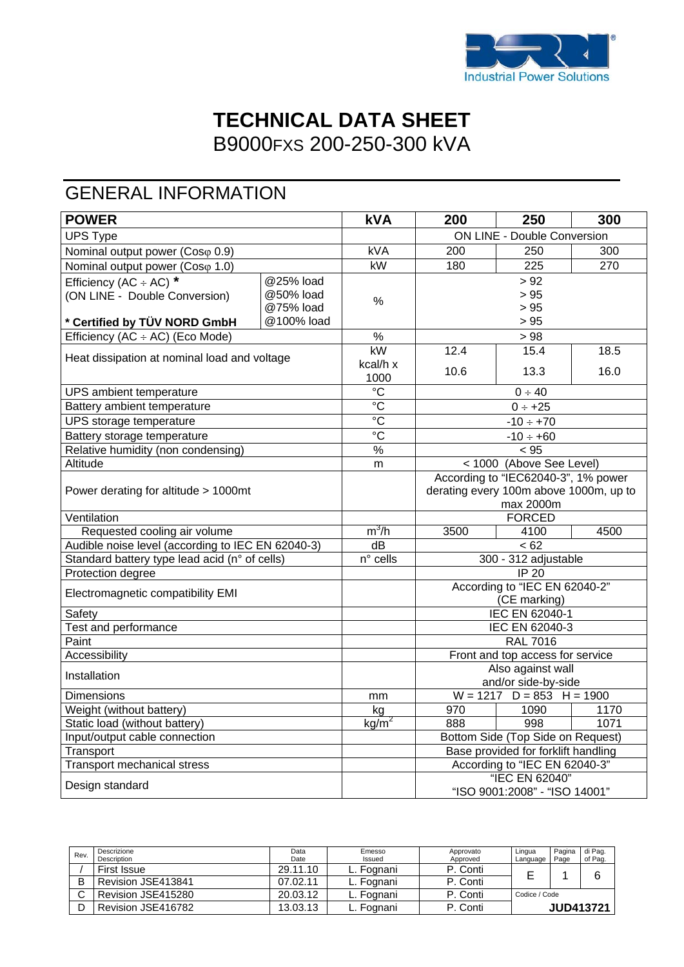

## **TECHNICAL DATA SHEET**  B9000FXS 200-250-300 kVA

# GENERAL INFORMATION

| <b>POWER</b>                                      |            | <b>kVA</b>                   | 200                                    | 250                           | 300  |  |
|---------------------------------------------------|------------|------------------------------|----------------------------------------|-------------------------------|------|--|
| <b>UPS Type</b>                                   |            |                              | <b>ON LINE - Double Conversion</b>     |                               |      |  |
| Nominal output power (Coso 0.9)                   |            | kVA                          | 200                                    | 250                           | 300  |  |
| Nominal output power (Coso 1.0)                   |            | kW                           | 180                                    | 225                           | 270  |  |
| Efficiency (AC $\div$ AC) *                       | @25% load  |                              |                                        | > 92                          |      |  |
| (ON LINE - Double Conversion)                     | @50% load  | $\%$                         | > 95                                   |                               |      |  |
|                                                   | @75% load  |                              | > 95                                   |                               |      |  |
| * Certified by TÜV NORD GmbH                      | @100% load |                              |                                        | > 95                          |      |  |
| Efficiency (AC ÷ AC) (Eco Mode)                   |            | $\%$                         | >98                                    |                               |      |  |
| Heat dissipation at nominal load and voltage      |            | kW                           | 12.4                                   | 15.4                          | 18.5 |  |
|                                                   |            | kcal/h x                     | 10.6                                   | 13.3                          | 16.0 |  |
|                                                   |            | 1000                         |                                        |                               |      |  |
| UPS ambient temperature                           |            | $^{\circ}C$                  |                                        | 0 ÷ 40                        |      |  |
| Battery ambient temperature                       |            | $\overline{c}$               |                                        | $0 \div +25$                  |      |  |
| UPS storage temperature                           |            | $\overline{c}$               |                                        | $-10 \div +70$                |      |  |
| Battery storage temperature                       |            | $\rm ^{\circ}C$              |                                        | $-10 \div +60$                |      |  |
| Relative humidity (non condensing)                |            | $\%$                         | < 95                                   |                               |      |  |
| Altitude                                          |            | m                            | < 1000 (Above See Level)               |                               |      |  |
|                                                   |            |                              | According to "IEC62040-3", 1% power    |                               |      |  |
| Power derating for altitude > 1000mt              |            |                              | derating every 100m above 1000m, up to |                               |      |  |
|                                                   |            |                              |                                        | max 2000m                     |      |  |
| Ventilation                                       |            | $m^3/h$                      |                                        | <b>FORCED</b>                 |      |  |
| Requested cooling air volume                      |            | $\overline{dB}$              | 3500                                   | 4100<br>$\frac{1}{62}$        | 4500 |  |
| Audible noise level (according to IEC EN 62040-3) |            | $\overline{n}^{\circ}$ cells | 300 - 312 adjustable                   |                               |      |  |
| Standard battery type lead acid (n° of cells)     |            |                              |                                        | $IP$ 20                       |      |  |
| Protection degree                                 |            |                              | According to "IEC EN 62040-2"          |                               |      |  |
| Electromagnetic compatibility EMI                 |            |                              | (CE marking)                           |                               |      |  |
| Safety                                            |            |                              | IEC EN 62040-1                         |                               |      |  |
| <b>Test and performance</b>                       |            |                              | <b>IEC EN 62040-3</b>                  |                               |      |  |
| Paint                                             |            |                              | <b>RAL 7016</b>                        |                               |      |  |
| Accessibility                                     |            |                              | Front and top access for service       |                               |      |  |
|                                                   |            |                              | Also against wall                      |                               |      |  |
| Installation                                      |            |                              | and/or side-by-side                    |                               |      |  |
| Dimensions                                        |            | mm                           | $W = 1217$ D = 853 H = 1900            |                               |      |  |
| Weight (without battery)                          |            | kg                           | 970                                    | 1090                          | 1170 |  |
| Static load (without battery)                     |            | $kg/m^2$                     | 998<br>1071<br>888                     |                               |      |  |
| Input/output cable connection                     |            |                              | Bottom Side (Top Side on Request)      |                               |      |  |
| Transport                                         |            |                              | Base provided for forklift handling    |                               |      |  |
| <b>Transport mechanical stress</b>                |            |                              |                                        | According to "IEC EN 62040-3" |      |  |
| Design standard                                   |            |                              | "IEC EN 62040"                         |                               |      |  |
|                                                   |            |                              | "ISO 9001:2008" - "ISO 14001"          |                               |      |  |

| Rev. | Descrizione<br>Description | Data<br>Date | Emesso<br>Issued | Approvato<br>Approved | Lingua<br>Language | Pagina<br>Page | di Pag.<br>of Pag. |
|------|----------------------------|--------------|------------------|-----------------------|--------------------|----------------|--------------------|
|      | First Issue                | 29.11.10     | L. Fognani       | P. Conti              |                    |                | 6                  |
|      | Revision JSE413841         | 07.02.11     | L. Foɑnani       | P. Conti              |                    |                |                    |
|      | Revision JSE415280         | 20.03.12     | ∟. Fognani       | P. Conti              | Codice / Code      |                |                    |
|      | Revision JSE416782         | 13.03.13     | ∟. Fognani       | P. Conti              |                    |                | <b>JUD413721</b>   |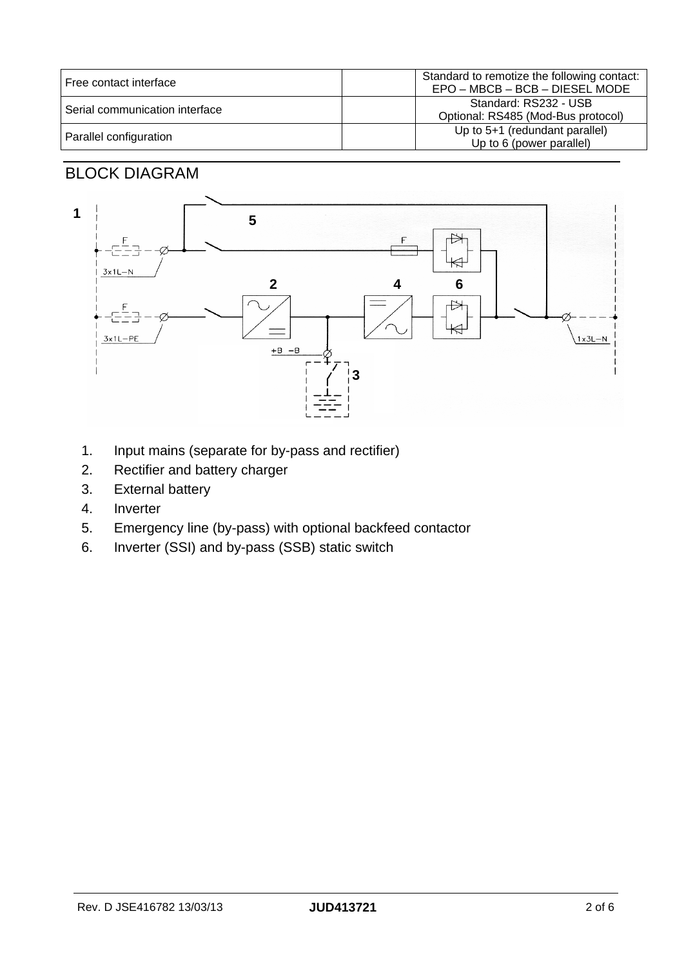| Free contact interface         | Standard to remotize the following contact:<br>EPO - MBCB - BCB - DIESEL MODE |
|--------------------------------|-------------------------------------------------------------------------------|
| Serial communication interface | Standard: RS232 - USB<br>Optional: RS485 (Mod-Bus protocol)                   |
| Parallel configuration         | Up to 5+1 (redundant parallel)<br>Up to 6 (power parallel)                    |

#### BLOCK DIAGRAM



- 1. Input mains (separate for by-pass and rectifier)
- 2. Rectifier and battery charger
- 3. External battery
- 4. Inverter
- 5. Emergency line (by-pass) with optional backfeed contactor
- 6. Inverter (SSI) and by-pass (SSB) static switch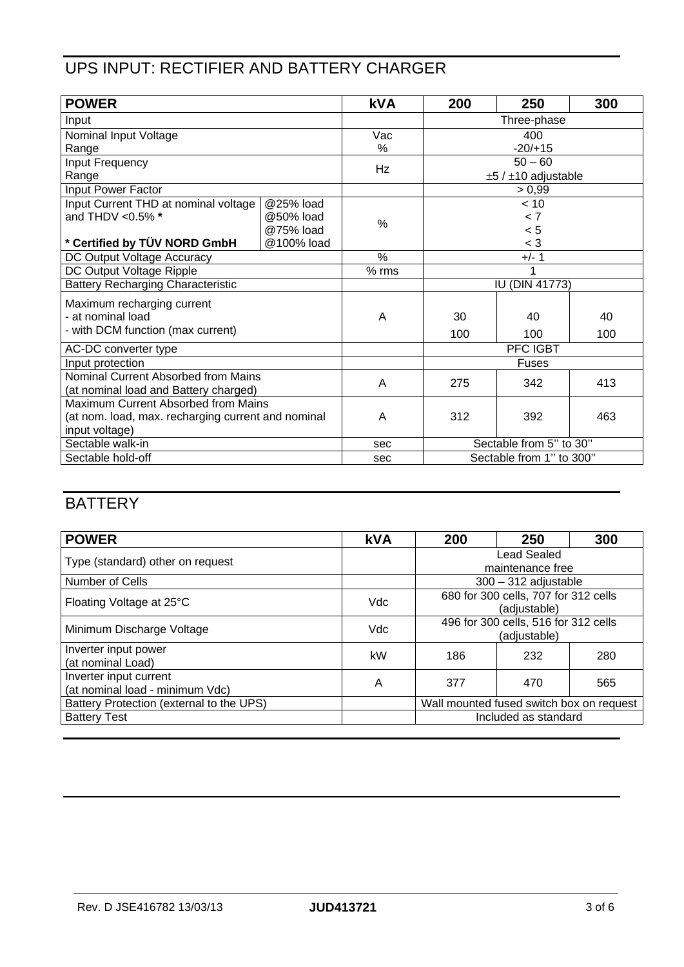## UPS INPUT: RECTIFIER AND BATTERY CHARGER

| <b>POWER</b>                                       |            | <b>kVA</b> | 200                      | 250                           | 300 |  |
|----------------------------------------------------|------------|------------|--------------------------|-------------------------------|-----|--|
| Input                                              |            |            | Three-phase              |                               |     |  |
| Nominal Input Voltage                              |            | Vac        |                          | 400                           |     |  |
| Range                                              |            | %          |                          | $-20/+15$                     |     |  |
| Input Frequency                                    |            | Hz         |                          | $50 - 60$                     |     |  |
| Range                                              |            |            |                          | $\pm 5$ / $\pm 10$ adjustable |     |  |
| Input Power Factor                                 |            |            |                          | > 0,99                        |     |  |
| Input Current THD at nominal voltage               | @25% load  |            |                          | < 10                          |     |  |
| and THDV < 0.5% *                                  | @50% load  | %          | < 7                      |                               |     |  |
|                                                    | @75% load  |            |                          | < 5                           |     |  |
| * Certified by TÜV NORD GmbH                       | @100% load |            | $<$ 3                    |                               |     |  |
| DC Output Voltage Accuracy                         |            | $\%$       |                          | $+/- 1$                       |     |  |
| DC Output Voltage Ripple                           |            | $%$ rms    | 1                        |                               |     |  |
| <b>Battery Recharging Characteristic</b>           |            |            | IU (DIN 41773)           |                               |     |  |
| Maximum recharging current                         |            |            |                          |                               |     |  |
| - at nominal load                                  |            | A          | 30                       | 40                            | 40  |  |
| - with DCM function (max current)                  |            |            | 100                      | 100                           | 100 |  |
| AC-DC converter type                               |            |            | PFC IGBT                 |                               |     |  |
| Input protection                                   |            |            | <b>Fuses</b>             |                               |     |  |
| Nominal Current Absorbed from Mains                |            |            |                          |                               |     |  |
| (at nominal load and Battery charged)              |            | A          | 275                      | 342                           | 413 |  |
| Maximum Current Absorbed from Mains                |            |            |                          |                               |     |  |
| (at nom. load, max. recharging current and nominal |            | Α          | 312                      | 392                           | 463 |  |
| input voltage)                                     |            |            |                          |                               |     |  |
| Sectable walk-in                                   |            | sec        | Sectable from 5" to 30"  |                               |     |  |
| Sectable hold-off                                  |            | sec        | Sectable from 1" to 300" |                               |     |  |

## **BATTERY**

| <b>POWER</b>                                              | <b>kVA</b> | 200                                                  | 250 | 300 |
|-----------------------------------------------------------|------------|------------------------------------------------------|-----|-----|
| Type (standard) other on request                          |            | <b>Lead Sealed</b><br>maintenance free               |     |     |
| Number of Cells                                           |            | $300 - 312$ adjustable                               |     |     |
| Floating Voltage at 25°C                                  | Vdc        | 680 for 300 cells, 707 for 312 cells<br>(adjustable) |     |     |
| Minimum Discharge Voltage                                 | Vdc        | 496 for 300 cells, 516 for 312 cells<br>(adjustable) |     |     |
| Inverter input power<br>(at nominal Load)                 | kW         | 186                                                  | 232 | 280 |
| Inverter input current<br>(at nominal load - minimum Vdc) | A          | 377                                                  | 470 | 565 |
| Battery Protection (external to the UPS)                  |            | Wall mounted fused switch box on request             |     |     |
| <b>Battery Test</b>                                       |            | Included as standard                                 |     |     |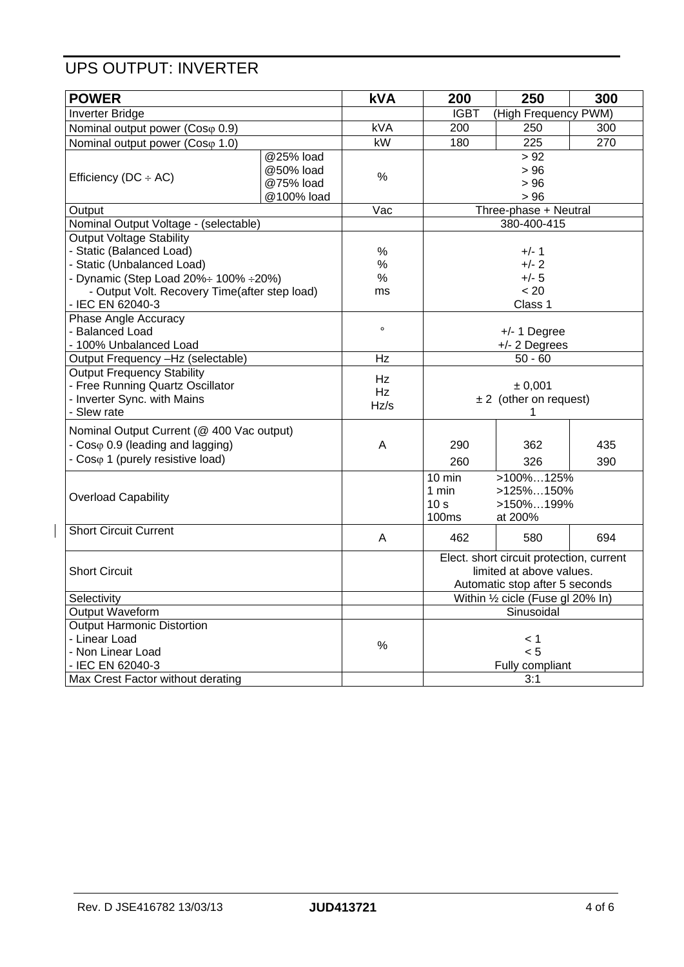### UPS OUTPUT: INVERTER

| <b>POWER</b>                                  |            | <b>kVA</b> | 200                            | 250                                                                  | 300 |  |
|-----------------------------------------------|------------|------------|--------------------------------|----------------------------------------------------------------------|-----|--|
| <b>Inverter Bridge</b>                        |            |            | <b>IGBT</b>                    | (High Frequency PWM)                                                 |     |  |
| Nominal output power (Coso 0.9)               |            | <b>kVA</b> | 200                            | 250                                                                  | 300 |  |
| Nominal output power (Coso 1.0)               |            | kW         | 180                            | 225                                                                  | 270 |  |
|                                               | @25% load  |            |                                | > 92                                                                 |     |  |
|                                               | @50% load  | $\%$       |                                | > 96                                                                 |     |  |
| Efficiency ( $DC \div AC$ )                   | @75% load  |            | > 96                           |                                                                      |     |  |
|                                               | @100% load |            | > 96                           |                                                                      |     |  |
| Output                                        |            | Vac        |                                | Three-phase + Neutral                                                |     |  |
| Nominal Output Voltage - (selectable)         |            |            |                                | 380-400-415                                                          |     |  |
| <b>Output Voltage Stability</b>               |            |            |                                |                                                                      |     |  |
| - Static (Balanced Load)                      |            | $\%$       | $+/- 1$                        |                                                                      |     |  |
| - Static (Unbalanced Load)                    |            | %          |                                | $+/- 2$                                                              |     |  |
| - Dynamic (Step Load 20%÷ 100% ÷20%)          |            | $\%$       |                                | $+/- 5$                                                              |     |  |
| - Output Volt. Recovery Time(after step load) |            | ms         |                                | < 20                                                                 |     |  |
| - IEC EN 62040-3                              |            |            |                                | Class 1                                                              |     |  |
| Phase Angle Accuracy                          |            |            |                                |                                                                      |     |  |
| - Balanced Load                               |            | $\circ$    |                                | $+/- 1$ Degree                                                       |     |  |
| - 100% Unbalanced Load                        |            |            | +/- 2 Degrees                  |                                                                      |     |  |
| Output Frequency -Hz (selectable)             |            | Hz         | $50 - 60$                      |                                                                      |     |  |
| <b>Output Frequency Stability</b>             |            | Hz         |                                |                                                                      |     |  |
| - Free Running Quartz Oscillator              |            | Hz         |                                | ± 0.001<br>$\pm 2$ (other on request)                                |     |  |
| - Inverter Sync. with Mains                   |            | Hz/s       |                                |                                                                      |     |  |
| - Slew rate                                   |            |            |                                | 1                                                                    |     |  |
| Nominal Output Current (@ 400 Vac output)     |            |            |                                |                                                                      |     |  |
| - $Cos\varphi$ 0.9 (leading and lagging)      |            | A          | 290                            | 362                                                                  | 435 |  |
| - Coso 1 (purely resistive load)              |            |            | 260                            | 326                                                                  | 390 |  |
|                                               |            |            | $10$ min                       | $>100\%125\%$                                                        |     |  |
|                                               |            |            |                                | $>125\%150\%$<br>1 min<br>>150%199%                                  |     |  |
| <b>Overload Capability</b>                    |            |            | 10 <sub>s</sub>                |                                                                      |     |  |
|                                               |            |            | 100ms                          | at 200%                                                              |     |  |
| <b>Short Circuit Current</b>                  |            |            |                                |                                                                      |     |  |
|                                               |            | A          | 462                            | 580                                                                  | 694 |  |
| <b>Short Circuit</b>                          |            |            |                                | Elect. short circuit protection, current<br>limited at above values. |     |  |
|                                               |            |            |                                |                                                                      |     |  |
|                                               |            |            | Automatic stop after 5 seconds |                                                                      |     |  |
| Selectivity                                   |            |            |                                | Within 1/2 cicle (Fuse gl 20% In)                                    |     |  |
| Output Waveform                               |            |            |                                | Sinusoidal                                                           |     |  |
| Output Harmonic Distortion                    |            |            |                                |                                                                      |     |  |
| - Linear Load                                 |            | $\%$       |                                | < 1                                                                  |     |  |
| - Non Linear Load                             |            |            |                                | < 5                                                                  |     |  |
| - IEC EN 62040-3                              |            |            |                                | Fully compliant                                                      |     |  |
| Max Crest Factor without derating             |            |            |                                | 3:1                                                                  |     |  |

 $\overline{\phantom{a}}$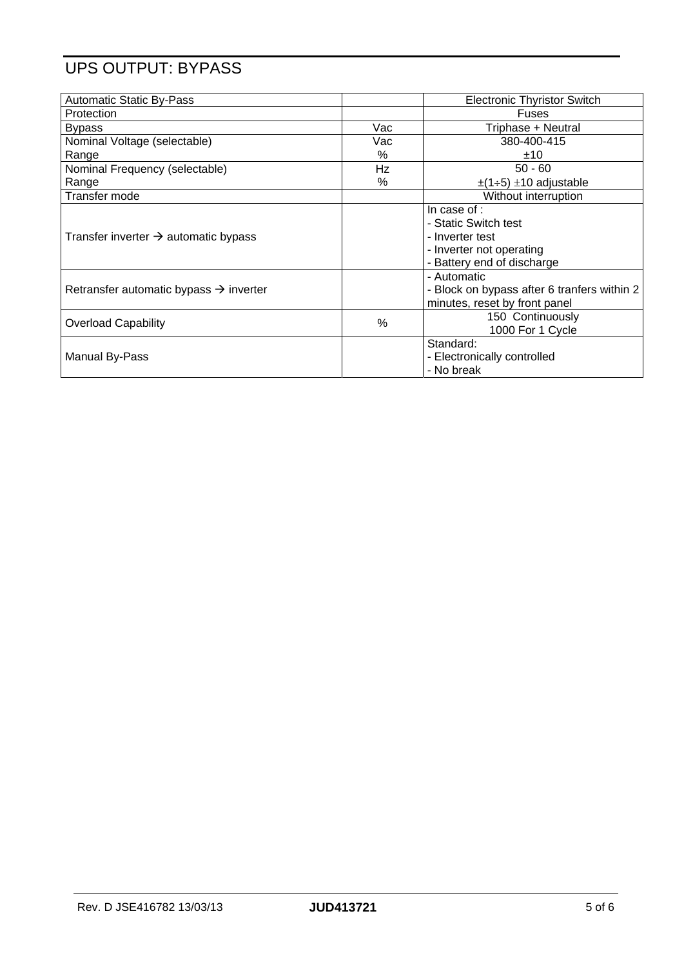### UPS OUTPUT: BYPASS

| <b>Automatic Static By-Pass</b>                    |      | <b>Electronic Thyristor Switch</b>          |
|----------------------------------------------------|------|---------------------------------------------|
| Protection                                         |      | <b>Fuses</b>                                |
| <b>Bypass</b>                                      | Vac  | Triphase + Neutral                          |
| Nominal Voltage (selectable)                       | Vac  | 380-400-415                                 |
| Range                                              | $\%$ | ±10                                         |
| Nominal Frequency (selectable)                     | Hz   | $50 - 60$                                   |
| Range                                              | $\%$ | $\pm$ (1÷5) $\pm$ 10 adjustable             |
| Transfer mode                                      |      | Without interruption                        |
|                                                    |      | In case of :                                |
|                                                    |      | - Static Switch test                        |
| Transfer inverter $\rightarrow$ automatic bypass   |      | - Inverter test                             |
|                                                    |      | - Inverter not operating                    |
|                                                    |      | - Battery end of discharge                  |
|                                                    |      | - Automatic                                 |
| Retransfer automatic bypass $\rightarrow$ inverter |      | - Block on bypass after 6 tranfers within 2 |
|                                                    |      | minutes, reset by front panel               |
| <b>Overload Capability</b>                         | $\%$ | 150 Continuously                            |
|                                                    |      | 1000 For 1 Cycle                            |
|                                                    |      | Standard:                                   |
| <b>Manual By-Pass</b>                              |      | - Electronically controlled                 |
|                                                    |      | - No break                                  |